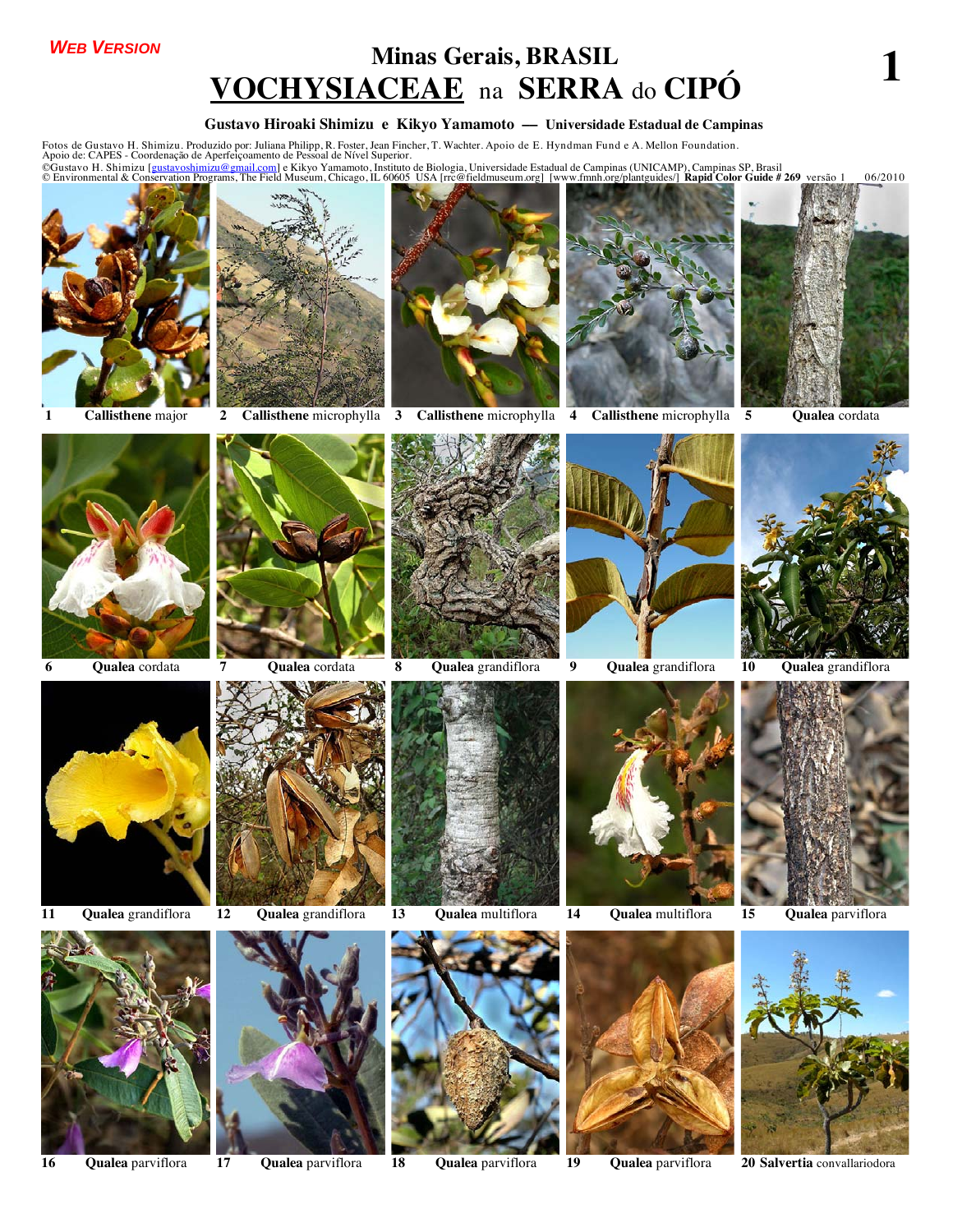### *WEB VERSION*

## **Minas Gerais, BRASIL VOCHYSIACEAE** na **SERRA** do **CIPÓ 1**

#### **Gustavo Hiroaki Shimizu e Kikyo Yamamoto –– Universidade Estadual de Campinas**

Fotos de Gustavo H. Shimizu. Produzido por: Juliana Philipp, R. Foster, Jean Fincher, T. Wachter. Apoio de E. Hyndman Fund e A. Mellon Foundation.<br>©Gustavo H. Shimizu [g<u>ustavoshimizu@em</u>anento de Pessoal de Nível Superio









**1 Callisthene** major **2 Callisthene** microphylla **3 Callisthene** microphylla **4 Callisthene** microphylla **5 Qualea** cordata























**16 Qualea** parviflora **17 Qualea** parviflora **18 Qualea** parviflora **19 Qualea** parviflora **20 Salvertia** convallariodora